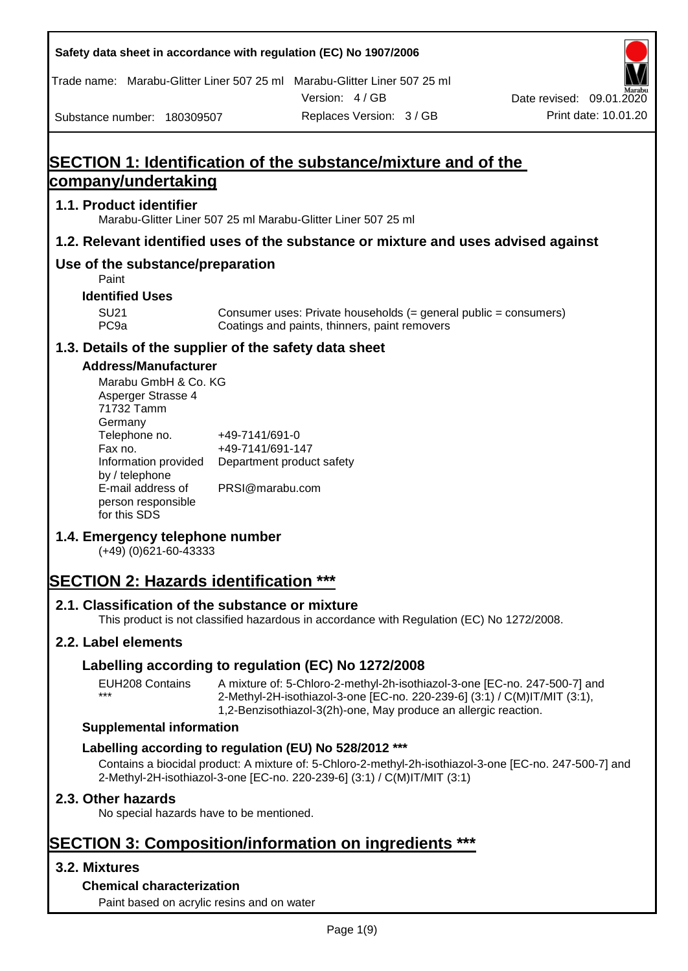Trade name: Marabu-Glitter Liner 507 25 ml Marabu-Glitter Liner 507 25 ml

Substance number: 180309507

Version: 4 / GB



## **SECTION 1: Identification of the substance/mixture and of the company/undertaking**

## **1.1. Product identifier**

Marabu-Glitter Liner 507 25 ml Marabu-Glitter Liner 507 25 ml

#### **1.2. Relevant identified uses of the substance or mixture and uses advised against**

## **Use of the substance/preparation**

Paint

**Identified Uses**

SU21 Consumer uses: Private households (= general public = consumers)<br>PC9a Coatings and paints, thinners, paint removers Coatings and paints, thinners, paint removers

## **1.3. Details of the supplier of the safety data sheet**

### **Address/Manufacturer**

| Marabu GmbH & Co. KG |                           |
|----------------------|---------------------------|
| Asperger Strasse 4   |                           |
| 71732 Tamm           |                           |
| Germany              |                           |
| Telephone no.        | +49-7141/691-0            |
| Fax no.              | +49-7141/691-147          |
| Information provided | Department product safety |
| by / telephone       |                           |
| E-mail address of    | PRSI@marabu.com           |
| person responsible   |                           |
| for this SDS         |                           |

## **1.4. Emergency telephone number**

(+49) (0)621-60-43333

## **SECTION 2: Hazards identification \*\*\***

## **2.1. Classification of the substance or mixture**

This product is not classified hazardous in accordance with Regulation (EC) No 1272/2008.

## **2.2. Label elements**

\*\*\*

## **Labelling according to regulation (EC) No 1272/2008**

EUH208 Contains A mixture of: 5-Chloro-2-methyl-2h-isothiazol-3-one [EC-no. 247-500-7] and 2-Methyl-2H-isothiazol-3-one [EC-no. 220-239-6] (3:1) / C(M)IT/MIT (3:1), 1,2-Benzisothiazol-3(2h)-one, May produce an allergic reaction.

#### **Supplemental information**

## **Labelling according to regulation (EU) No 528/2012 \*\*\***

Contains a biocidal product: A mixture of: 5-Chloro-2-methyl-2h-isothiazol-3-one [EC-no. 247-500-7] and 2-Methyl-2H-isothiazol-3-one [EC-no. 220-239-6] (3:1) / C(M)IT/MIT (3:1)

## **2.3. Other hazards**

No special hazards have to be mentioned.

## **SECTION 3: Composition/information on ingredients \*\*\***

## **3.2. Mixtures**

## **Chemical characterization**

Paint based on acrylic resins and on water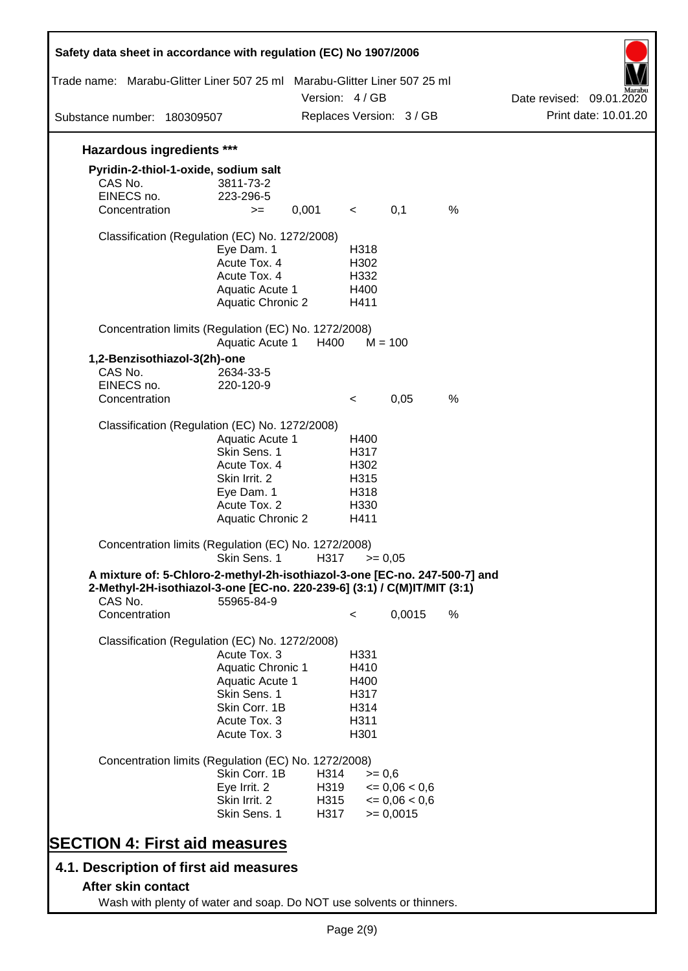| Safety data sheet in accordance with regulation (EC) No 1907/2006<br>Trade name: Marabu-Glitter Liner 507 25 ml Marabu-Glitter Liner 507 25 ml |                          | Version: 4 / GB |         |                          |      | Date revised: 09.01.2020 |                      |
|------------------------------------------------------------------------------------------------------------------------------------------------|--------------------------|-----------------|---------|--------------------------|------|--------------------------|----------------------|
| Substance number: 180309507                                                                                                                    |                          |                 |         | Replaces Version: 3 / GB |      |                          | Print date: 10.01.20 |
| <b>Hazardous ingredients ***</b>                                                                                                               |                          |                 |         |                          |      |                          |                      |
| Pyridin-2-thiol-1-oxide, sodium salt                                                                                                           |                          |                 |         |                          |      |                          |                      |
| CAS No.                                                                                                                                        | 3811-73-2                |                 |         |                          |      |                          |                      |
| EINECS no.                                                                                                                                     | 223-296-5                |                 |         |                          |      |                          |                      |
| Concentration                                                                                                                                  | $>=$                     | 0,001           | $\prec$ | 0,1                      | $\%$ |                          |                      |
| Classification (Regulation (EC) No. 1272/2008)                                                                                                 |                          |                 |         |                          |      |                          |                      |
|                                                                                                                                                | Eye Dam. 1               |                 | H318    |                          |      |                          |                      |
|                                                                                                                                                | Acute Tox. 4             |                 | H302    |                          |      |                          |                      |
|                                                                                                                                                | Acute Tox. 4             |                 | H332    |                          |      |                          |                      |
|                                                                                                                                                | Aquatic Acute 1          |                 | H400    |                          |      |                          |                      |
|                                                                                                                                                | <b>Aquatic Chronic 2</b> |                 | H411    |                          |      |                          |                      |
| Concentration limits (Regulation (EC) No. 1272/2008)                                                                                           | Aquatic Acute 1          | H400            |         | $M = 100$                |      |                          |                      |
|                                                                                                                                                |                          |                 |         |                          |      |                          |                      |
| 1,2-Benzisothiazol-3(2h)-one                                                                                                                   |                          |                 |         |                          |      |                          |                      |
| CAS No.<br>EINECS no.                                                                                                                          | 2634-33-5                |                 |         |                          |      |                          |                      |
| Concentration                                                                                                                                  | 220-120-9                |                 | $\,<\,$ | 0,05                     | %    |                          |                      |
|                                                                                                                                                |                          |                 |         |                          |      |                          |                      |
| Classification (Regulation (EC) No. 1272/2008)                                                                                                 |                          |                 |         |                          |      |                          |                      |
|                                                                                                                                                | Aquatic Acute 1          |                 | H400    |                          |      |                          |                      |
|                                                                                                                                                | Skin Sens. 1             |                 | H317    |                          |      |                          |                      |
|                                                                                                                                                | Acute Tox. 4             |                 | H302    |                          |      |                          |                      |
|                                                                                                                                                | Skin Irrit. 2            |                 | H315    |                          |      |                          |                      |
|                                                                                                                                                | Eye Dam. 1               |                 | H318    |                          |      |                          |                      |
|                                                                                                                                                | Acute Tox. 2             |                 | H330    |                          |      |                          |                      |
|                                                                                                                                                | <b>Aquatic Chronic 2</b> |                 | H411    |                          |      |                          |                      |
| Concentration limits (Regulation (EC) No. 1272/2008)                                                                                           | Skin Sens. 1             | H317            |         | $= 0,05$                 |      |                          |                      |
| A mixture of: 5-Chloro-2-methyl-2h-isothiazol-3-one [EC-no. 247-500-7] and                                                                     |                          |                 |         |                          |      |                          |                      |
| 2-Methyl-2H-isothiazol-3-one [EC-no. 220-239-6] (3:1) / C(M)IT/MIT (3:1)<br>CAS No.                                                            | 55965-84-9               |                 |         |                          |      |                          |                      |
| Concentration                                                                                                                                  |                          |                 | $\lt$   | 0,0015                   | $\%$ |                          |                      |
| Classification (Regulation (EC) No. 1272/2008)                                                                                                 |                          |                 |         |                          |      |                          |                      |
|                                                                                                                                                | Acute Tox. 3             |                 | H331    |                          |      |                          |                      |
|                                                                                                                                                | <b>Aquatic Chronic 1</b> |                 | H410    |                          |      |                          |                      |
|                                                                                                                                                | <b>Aquatic Acute 1</b>   |                 | H400    |                          |      |                          |                      |
|                                                                                                                                                | Skin Sens. 1             |                 | H317    |                          |      |                          |                      |
|                                                                                                                                                | Skin Corr. 1B            |                 | H314    |                          |      |                          |                      |
|                                                                                                                                                | Acute Tox. 3             |                 | H311    |                          |      |                          |                      |
|                                                                                                                                                | Acute Tox. 3             |                 | H301    |                          |      |                          |                      |
|                                                                                                                                                |                          |                 |         |                          |      |                          |                      |
| Concentration limits (Regulation (EC) No. 1272/2008)                                                                                           |                          |                 |         |                          |      |                          |                      |
|                                                                                                                                                | Skin Corr. 1B            | H314            |         | $>= 0.6$                 |      |                          |                      |
|                                                                                                                                                | Eye Irrit. 2             | H319            |         | $\leq 0.06 < 0.6$        |      |                          |                      |
|                                                                                                                                                | Skin Irrit. 2            | H315            |         | $\leq 0.06 < 0.6$        |      |                          |                      |
|                                                                                                                                                | Skin Sens. 1             | H317            |         | $>= 0,0015$              |      |                          |                      |
| <b>SECTION 4: First aid measures</b>                                                                                                           |                          |                 |         |                          |      |                          |                      |
| 4.1. Description of first aid measures                                                                                                         |                          |                 |         |                          |      |                          |                      |
| After skin contact                                                                                                                             |                          |                 |         |                          |      |                          |                      |

Wash with plenty of water and soap. Do NOT use solvents or thinners.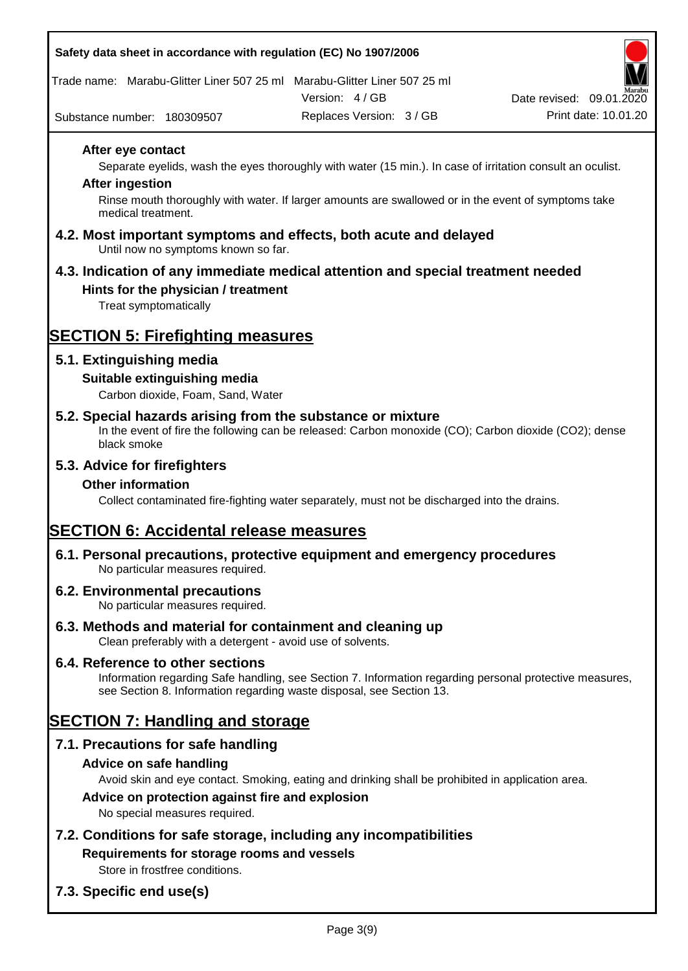Trade name: Marabu-Glitter Liner 507 25 ml Marabu-Glitter Liner 507 25 ml

Version: 4 / GB



Substance number: 180309507

Replaces Version: 3 / GB Print date: 10.01.20

#### **After eye contact**

Separate eyelids, wash the eyes thoroughly with water (15 min.). In case of irritation consult an oculist.

#### **After ingestion**

Rinse mouth thoroughly with water. If larger amounts are swallowed or in the event of symptoms take medical treatment.

#### **4.2. Most important symptoms and effects, both acute and delayed** Until now no symptoms known so far.

## **4.3. Indication of any immediate medical attention and special treatment needed**

### **Hints for the physician / treatment**

Treat symptomatically

## **SECTION 5: Firefighting measures**

## **5.1. Extinguishing media**

### **Suitable extinguishing media**

Carbon dioxide, Foam, Sand, Water

## **5.2. Special hazards arising from the substance or mixture**

In the event of fire the following can be released: Carbon monoxide (CO); Carbon dioxide (CO2); dense black smoke

### **5.3. Advice for firefighters**

### **Other information**

Collect contaminated fire-fighting water separately, must not be discharged into the drains.

## **SECTION 6: Accidental release measures**

#### **6.1. Personal precautions, protective equipment and emergency procedures** No particular measures required.

#### **6.2. Environmental precautions**

No particular measures required.

- **6.3. Methods and material for containment and cleaning up** Clean preferably with a detergent - avoid use of solvents.
- **6.4. Reference to other sections**

Information regarding Safe handling, see Section 7. Information regarding personal protective measures, see Section 8. Information regarding waste disposal, see Section 13.

## **SECTION 7: Handling and storage**

## **7.1. Precautions for safe handling**

**Advice on safe handling**

Avoid skin and eye contact. Smoking, eating and drinking shall be prohibited in application area.

### **Advice on protection against fire and explosion**

No special measures required.

**7.2. Conditions for safe storage, including any incompatibilities Requirements for storage rooms and vessels**

Store in frostfree conditions.

## **7.3. Specific end use(s)**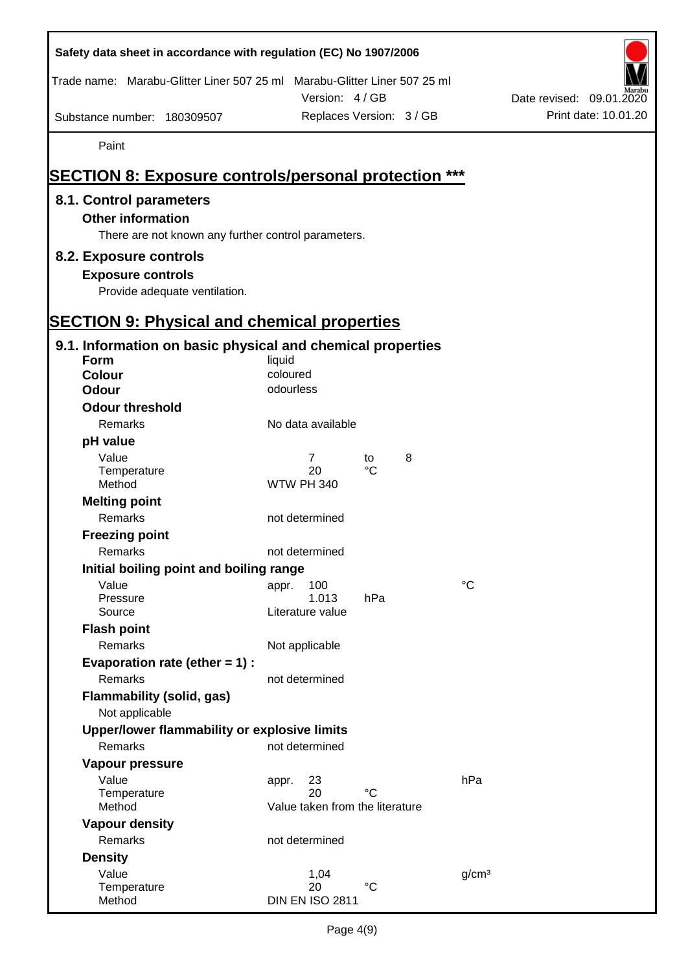| Safety data sheet in accordance with regulation (EC) No 1907/2006                                          |                                       |                          |
|------------------------------------------------------------------------------------------------------------|---------------------------------------|--------------------------|
| Trade name: Marabu-Glitter Liner 507 25 ml Marabu-Glitter Liner 507 25 ml                                  | Version: 4/GB                         | Date revised: 09.01.2020 |
| Substance number: 180309507                                                                                | Replaces Version: 3 / GB              | Print date: 10.01.20     |
| Paint                                                                                                      |                                       |                          |
| <b>SECTION 8: Exposure controls/personal protection ***</b>                                                |                                       |                          |
|                                                                                                            |                                       |                          |
| 8.1. Control parameters<br><b>Other information</b><br>There are not known any further control parameters. |                                       |                          |
| 8.2. Exposure controls                                                                                     |                                       |                          |
| <b>Exposure controls</b><br>Provide adequate ventilation.                                                  |                                       |                          |
| <b>SECTION 9: Physical and chemical properties</b>                                                         |                                       |                          |
| 9.1. Information on basic physical and chemical properties                                                 |                                       |                          |
| Form                                                                                                       | liquid                                |                          |
| <b>Colour</b>                                                                                              | coloured                              |                          |
| <b>Odour</b>                                                                                               | odourless                             |                          |
| <b>Odour threshold</b>                                                                                     |                                       |                          |
| Remarks                                                                                                    | No data available                     |                          |
| pH value                                                                                                   |                                       |                          |
| Value<br>Temperature                                                                                       | 8<br>7<br>to<br>$\rm ^{\circ}C$<br>20 |                          |
| Method                                                                                                     | <b>WTW PH 340</b>                     |                          |
| <b>Melting point</b>                                                                                       |                                       |                          |
| Remarks                                                                                                    | not determined                        |                          |
| <b>Freezing point</b>                                                                                      |                                       |                          |
| Remarks                                                                                                    | not determined                        |                          |
| Initial boiling point and boiling range                                                                    |                                       |                          |
| Value                                                                                                      | $\rm ^{\circ}C$<br>100<br>appr.       |                          |
| Pressure<br>Source                                                                                         | 1.013<br>hPa<br>Literature value      |                          |
| <b>Flash point</b>                                                                                         |                                       |                          |
| Remarks                                                                                                    | Not applicable                        |                          |
| Evaporation rate (ether $= 1$ ) :                                                                          |                                       |                          |
| Remarks                                                                                                    | not determined                        |                          |
| Flammability (solid, gas)<br>Not applicable                                                                |                                       |                          |
| Upper/lower flammability or explosive limits                                                               |                                       |                          |
| Remarks                                                                                                    | not determined                        |                          |
| Vapour pressure                                                                                            |                                       |                          |
| Value                                                                                                      | hPa<br>23<br>appr.                    |                          |
| Temperature                                                                                                | $^{\circ}C$<br>20                     |                          |
| Method                                                                                                     | Value taken from the literature       |                          |
| <b>Vapour density</b><br>Remarks                                                                           | not determined                        |                          |
| <b>Density</b>                                                                                             |                                       |                          |
| Value                                                                                                      | 1,04<br>g/cm <sup>3</sup>             |                          |
| Temperature                                                                                                | $^{\circ}C$<br>20                     |                          |
| Method                                                                                                     | <b>DIN EN ISO 2811</b>                |                          |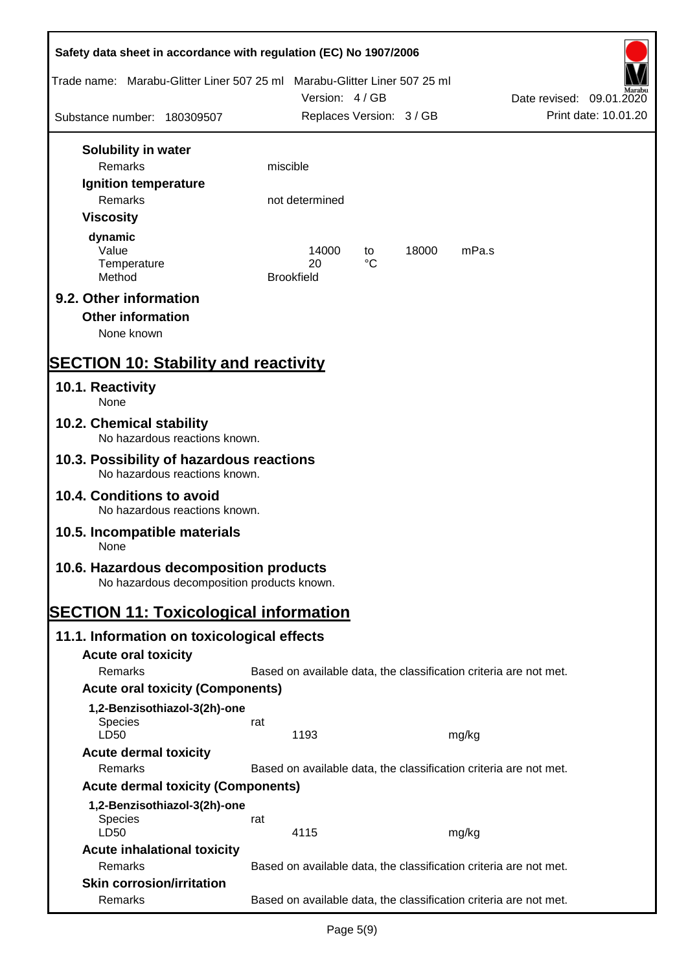| Safety data sheet in accordance with regulation (EC) No 1907/2006                    |          |                                                                   |          |       |       |                          |                      |
|--------------------------------------------------------------------------------------|----------|-------------------------------------------------------------------|----------|-------|-------|--------------------------|----------------------|
| Trade name: Marabu-Glitter Liner 507 25 ml Marabu-Glitter Liner 507 25 ml            |          | Version: 4 / GB                                                   |          |       |       | Date revised: 09.01.2020 |                      |
| Substance number: 180309507                                                          |          | Replaces Version: 3 / GB                                          |          |       |       |                          | Print date: 10.01.20 |
| Solubility in water                                                                  |          |                                                                   |          |       |       |                          |                      |
| <b>Remarks</b>                                                                       | miscible |                                                                   |          |       |       |                          |                      |
| Ignition temperature<br><b>Remarks</b>                                               |          | not determined                                                    |          |       |       |                          |                      |
| <b>Viscosity</b>                                                                     |          |                                                                   |          |       |       |                          |                      |
| dynamic<br>Value<br>Temperature<br>Method                                            |          | 14000<br>20<br><b>Brookfield</b>                                  | to<br>°C | 18000 | mPa.s |                          |                      |
| 9.2. Other information<br><b>Other information</b>                                   |          |                                                                   |          |       |       |                          |                      |
| None known                                                                           |          |                                                                   |          |       |       |                          |                      |
| <b>SECTION 10: Stability and reactivity</b>                                          |          |                                                                   |          |       |       |                          |                      |
| 10.1. Reactivity<br>None                                                             |          |                                                                   |          |       |       |                          |                      |
| 10.2. Chemical stability<br>No hazardous reactions known.                            |          |                                                                   |          |       |       |                          |                      |
| 10.3. Possibility of hazardous reactions<br>No hazardous reactions known.            |          |                                                                   |          |       |       |                          |                      |
| 10.4. Conditions to avoid<br>No hazardous reactions known.                           |          |                                                                   |          |       |       |                          |                      |
| 10.5. Incompatible materials<br>None                                                 |          |                                                                   |          |       |       |                          |                      |
| 10.6. Hazardous decomposition products<br>No hazardous decomposition products known. |          |                                                                   |          |       |       |                          |                      |
| <b>SECTION 11: Toxicological information</b>                                         |          |                                                                   |          |       |       |                          |                      |
| 11.1. Information on toxicological effects                                           |          |                                                                   |          |       |       |                          |                      |
| <b>Acute oral toxicity</b>                                                           |          |                                                                   |          |       |       |                          |                      |
| Remarks                                                                              |          | Based on available data, the classification criteria are not met. |          |       |       |                          |                      |
| <b>Acute oral toxicity (Components)</b>                                              |          |                                                                   |          |       |       |                          |                      |
| 1,2-Benzisothiazol-3(2h)-one                                                         |          |                                                                   |          |       |       |                          |                      |
| <b>Species</b>                                                                       | rat      |                                                                   |          |       |       |                          |                      |
| LD50                                                                                 |          | 1193                                                              |          |       | mg/kg |                          |                      |
| <b>Acute dermal toxicity</b>                                                         |          |                                                                   |          |       |       |                          |                      |
| Remarks                                                                              |          | Based on available data, the classification criteria are not met. |          |       |       |                          |                      |
| <b>Acute dermal toxicity (Components)</b>                                            |          |                                                                   |          |       |       |                          |                      |
| 1,2-Benzisothiazol-3(2h)-one<br><b>Species</b><br>LD50                               | rat      | 4115                                                              |          |       | mg/kg |                          |                      |
| <b>Acute inhalational toxicity</b>                                                   |          |                                                                   |          |       |       |                          |                      |
| Remarks                                                                              |          | Based on available data, the classification criteria are not met. |          |       |       |                          |                      |
| <b>Skin corrosion/irritation</b><br>Remarks                                          |          | Based on available data, the classification criteria are not met. |          |       |       |                          |                      |
|                                                                                      |          |                                                                   |          |       |       |                          |                      |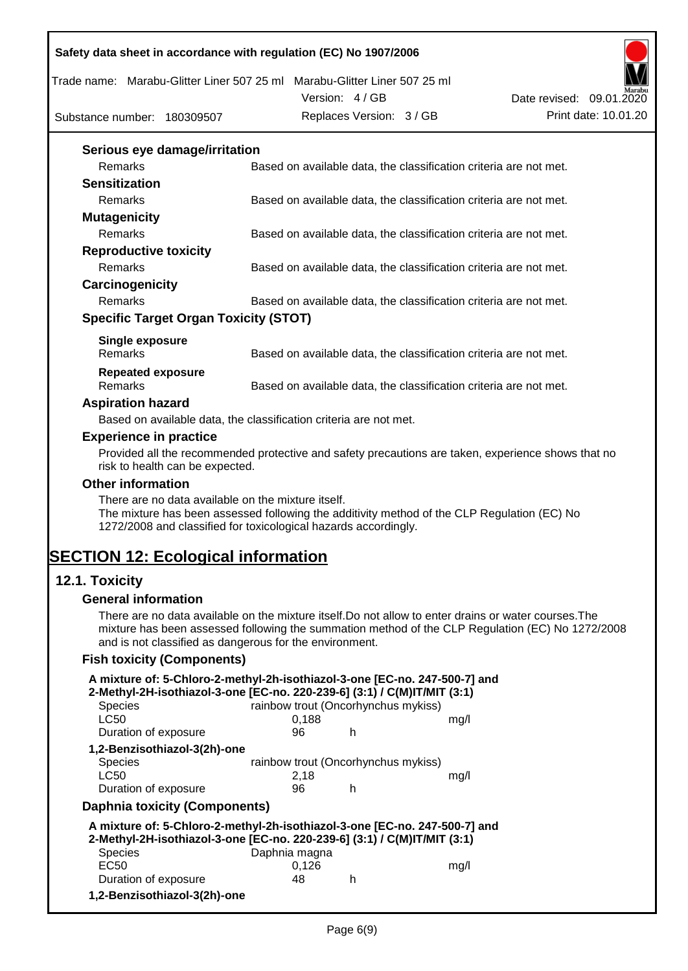Trade name: Marabu-Glitter Liner 507 25 ml Marabu-Glitter Liner 507 25 ml

Version: 4 / GB



Substance number: 180309507

| Version: 4/GB            | Date revised: 09.01.2020 | .                    |
|--------------------------|--------------------------|----------------------|
| Replaces Version: 3 / GB |                          | Print date: 10.01.20 |
|                          |                          |                      |

| Serious eye damage/irritation                |                                                                   |
|----------------------------------------------|-------------------------------------------------------------------|
| <b>Remarks</b>                               | Based on available data, the classification criteria are not met. |
| <b>Sensitization</b>                         |                                                                   |
| <b>Remarks</b>                               | Based on available data, the classification criteria are not met. |
| <b>Mutagenicity</b>                          |                                                                   |
| <b>Remarks</b>                               | Based on available data, the classification criteria are not met. |
| <b>Reproductive toxicity</b>                 |                                                                   |
| <b>Remarks</b>                               | Based on available data, the classification criteria are not met. |
| Carcinogenicity                              |                                                                   |
| <b>Remarks</b>                               | Based on available data, the classification criteria are not met. |
| <b>Specific Target Organ Toxicity (STOT)</b> |                                                                   |
| Single exposure                              |                                                                   |
| <b>Remarks</b>                               | Based on available data, the classification criteria are not met. |

| $\Lambda$ anivatian hayard   |                                                                   |
|------------------------------|-------------------------------------------------------------------|
| Repeated exposure<br>Remarks | Based on available data, the classification criteria are not met. |
|                              |                                                                   |
| <b>INGHIAINS</b>             | Dascu UII available uata, the classification chiena are not met.  |

#### **Aspiration hazard**

Based on available data, the classification criteria are not met.

#### **Experience in practice**

Provided all the recommended protective and safety precautions are taken, experience shows that no risk to health can be expected.

#### **Other information**

There are no data available on the mixture itself. The mixture has been assessed following the additivity method of the CLP Regulation (EC) No 1272/2008 and classified for toxicological hazards accordingly.

## **SECTION 12: Ecological information**

## **12.1. Toxicity**

#### **General information**

There are no data available on the mixture itself.Do not allow to enter drains or water courses.The mixture has been assessed following the summation method of the CLP Regulation (EC) No 1272/2008 and is not classified as dangerous for the environment.

#### **Fish toxicity (Components)**

| A mixture of: 5-Chloro-2-methyl-2h-isothiazol-3-one [EC-no. 247-500-7] and<br>2-Methyl-2H-isothiazol-3-one [EC-no. 220-239-6] (3:1) / C(M)IT/MIT (3:1) |                                     |   |      |  |  |  |
|--------------------------------------------------------------------------------------------------------------------------------------------------------|-------------------------------------|---|------|--|--|--|
| rainbow trout (Oncorhynchus mykiss)<br><b>Species</b>                                                                                                  |                                     |   |      |  |  |  |
| <b>LC50</b>                                                                                                                                            | 0.188                               |   | mq/l |  |  |  |
| Duration of exposure                                                                                                                                   | 96                                  | h |      |  |  |  |
| 1,2-Benzisothiazol-3(2h)-one                                                                                                                           |                                     |   |      |  |  |  |
| Species                                                                                                                                                | rainbow trout (Oncorhynchus mykiss) |   |      |  |  |  |
| <b>LC50</b>                                                                                                                                            | 2,18                                |   | mq/l |  |  |  |
| Duration of exposure                                                                                                                                   | 96                                  | h |      |  |  |  |
| Daphnia toxicity (Components)                                                                                                                          |                                     |   |      |  |  |  |
| A mixture of: 5-Chloro-2-methyl-2h-isothiazol-3-one [EC-no. 247-500-7] and<br>2-Methyl-2H-isothiazol-3-one [EC-no. 220-239-6] (3:1) / C(M)IT/MIT (3:1) |                                     |   |      |  |  |  |
| <b>Species</b>                                                                                                                                         | Daphnia magna                       |   |      |  |  |  |
| <b>EC50</b>                                                                                                                                            | 0,126                               |   | mq/l |  |  |  |
| Duration of exposure                                                                                                                                   | 48                                  | h |      |  |  |  |
| 1,2-Benzisothiazol-3(2h)-one                                                                                                                           |                                     |   |      |  |  |  |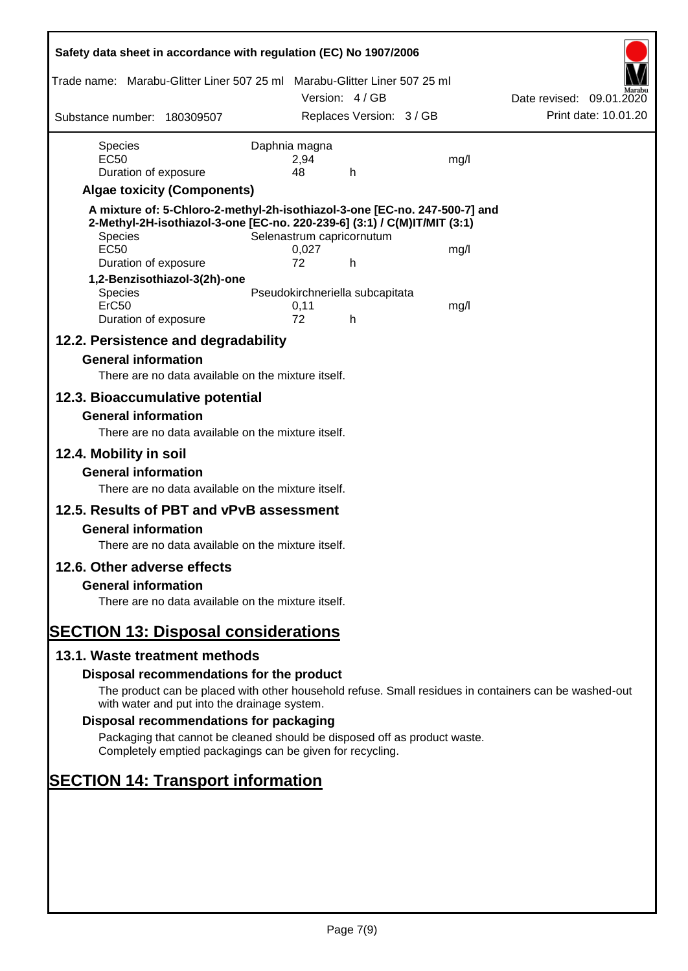| Safety data sheet in accordance with regulation (EC) No 1907/2006                                                                                                                |                       |                                 |      |                          |
|----------------------------------------------------------------------------------------------------------------------------------------------------------------------------------|-----------------------|---------------------------------|------|--------------------------|
| Trade name: Marabu-Glitter Liner 507 25 ml Marabu-Glitter Liner 507 25 ml                                                                                                        |                       |                                 |      |                          |
|                                                                                                                                                                                  |                       | Version: 4 / GB                 |      | Date revised: 09.01.2020 |
| Substance number: 180309507                                                                                                                                                      |                       | Replaces Version: 3 / GB        |      | Print date: 10.01.20     |
| <b>Species</b><br><b>EC50</b>                                                                                                                                                    | Daphnia magna<br>2,94 |                                 | mg/l |                          |
| Duration of exposure                                                                                                                                                             | 48                    | h                               |      |                          |
| <b>Algae toxicity (Components)</b>                                                                                                                                               |                       |                                 |      |                          |
| A mixture of: 5-Chloro-2-methyl-2h-isothiazol-3-one [EC-no. 247-500-7] and<br>2-Methyl-2H-isothiazol-3-one [EC-no. 220-239-6] (3:1) / C(M)IT/MIT (3:1)<br>Species<br><b>EC50</b> | 0,027                 | Selenastrum capricornutum       | mg/l |                          |
| Duration of exposure                                                                                                                                                             | 72                    | h                               |      |                          |
| 1,2-Benzisothiazol-3(2h)-one                                                                                                                                                     |                       |                                 |      |                          |
| Species<br>ErC50                                                                                                                                                                 | 0,11                  | Pseudokirchneriella subcapitata | mg/l |                          |
| Duration of exposure                                                                                                                                                             | 72                    | h                               |      |                          |
| 12.2. Persistence and degradability                                                                                                                                              |                       |                                 |      |                          |
| <b>General information</b>                                                                                                                                                       |                       |                                 |      |                          |
| There are no data available on the mixture itself.                                                                                                                               |                       |                                 |      |                          |
| 12.3. Bioaccumulative potential                                                                                                                                                  |                       |                                 |      |                          |
| <b>General information</b><br>There are no data available on the mixture itself.                                                                                                 |                       |                                 |      |                          |
| 12.4. Mobility in soil                                                                                                                                                           |                       |                                 |      |                          |
| <b>General information</b><br>There are no data available on the mixture itself.                                                                                                 |                       |                                 |      |                          |
| 12.5. Results of PBT and vPvB assessment                                                                                                                                         |                       |                                 |      |                          |
| <b>General information</b>                                                                                                                                                       |                       |                                 |      |                          |
| There are no data available on the mixture itself.                                                                                                                               |                       |                                 |      |                          |
| 12.6. Other adverse effects                                                                                                                                                      |                       |                                 |      |                          |
| <b>General information</b>                                                                                                                                                       |                       |                                 |      |                          |
| There are no data available on the mixture itself.                                                                                                                               |                       |                                 |      |                          |
| <b>SECTION 13: Disposal considerations</b>                                                                                                                                       |                       |                                 |      |                          |
| 13.1. Waste treatment methods                                                                                                                                                    |                       |                                 |      |                          |
| Disposal recommendations for the product                                                                                                                                         |                       |                                 |      |                          |
| The product can be placed with other household refuse. Small residues in containers can be washed-out<br>with water and put into the drainage system.                            |                       |                                 |      |                          |
| Disposal recommendations for packaging                                                                                                                                           |                       |                                 |      |                          |

Packaging that cannot be cleaned should be disposed off as product waste. Completely emptied packagings can be given for recycling.

# **SECTION 14: Transport information**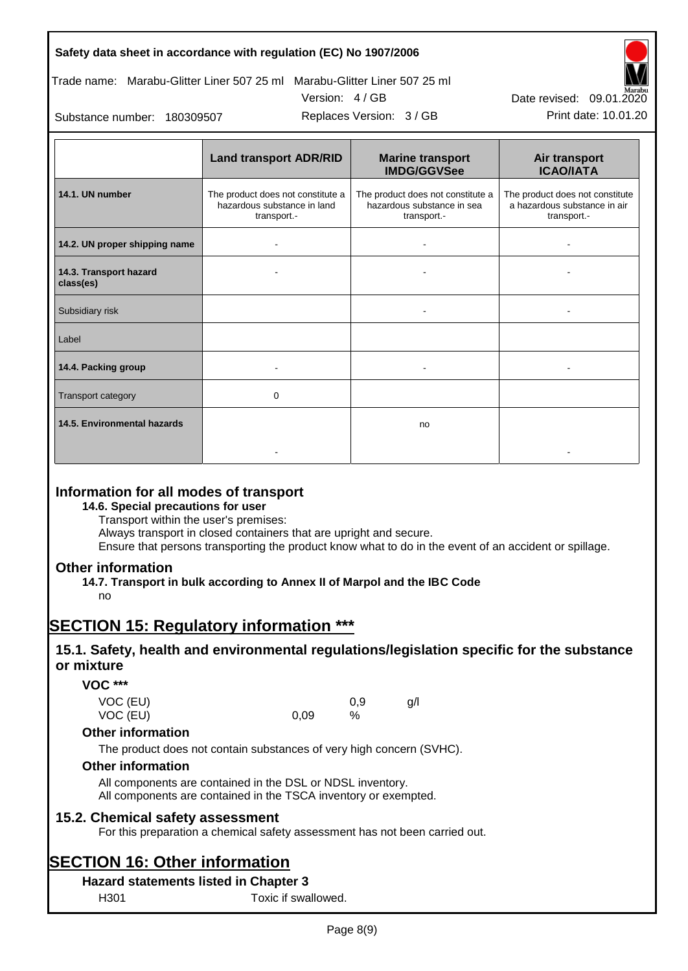

Replaces Version: 3 / GB Print date: 10.01.20 Date revised: 09.01.2020

Substance number: 180309507

|                                     | <b>Land transport ADR/RID</b>                                                   | <b>Marine transport</b><br><b>IMDG/GGVSee</b>                                  | Air transport<br><b>ICAO/IATA</b>                                              |
|-------------------------------------|---------------------------------------------------------------------------------|--------------------------------------------------------------------------------|--------------------------------------------------------------------------------|
| 14.1. UN number                     | The product does not constitute a<br>hazardous substance in land<br>transport.- | The product does not constitute a<br>hazardous substance in sea<br>transport.- | The product does not constitute<br>a hazardous substance in air<br>transport.- |
| 14.2. UN proper shipping name       |                                                                                 |                                                                                |                                                                                |
| 14.3. Transport hazard<br>class(es) |                                                                                 |                                                                                |                                                                                |
| Subsidiary risk                     |                                                                                 | ۰                                                                              |                                                                                |
| Label                               |                                                                                 |                                                                                |                                                                                |
| 14.4. Packing group                 |                                                                                 |                                                                                |                                                                                |
| <b>Transport category</b>           | 0                                                                               |                                                                                |                                                                                |
| 14.5. Environmental hazards         |                                                                                 | no                                                                             |                                                                                |
|                                     |                                                                                 |                                                                                |                                                                                |

## **Information for all modes of transport**

**14.6. Special precautions for user**

Transport within the user's premises:

Always transport in closed containers that are upright and secure.

Ensure that persons transporting the product know what to do in the event of an accident or spillage.

### **Other information**

**14.7. Transport in bulk according to Annex II of Marpol and the IBC Code**

no

## **SECTION 15: Regulatory information \*\*\***

## **15.1. Safety, health and environmental regulations/legislation specific for the substance or mixture**

**VOC \*\*\***

| VOC (EU) |      | 0.9  | g/ |
|----------|------|------|----|
| VOC (EU) | 0,09 | $\%$ |    |

#### **Other information**

The product does not contain substances of very high concern (SVHC).

#### **Other information**

All components are contained in the DSL or NDSL inventory. All components are contained in the TSCA inventory or exempted.

#### **15.2. Chemical safety assessment**

For this preparation a chemical safety assessment has not been carried out.

## **SECTION 16: Other information**

### **Hazard statements listed in Chapter 3**

H301 Toxic if swallowed.